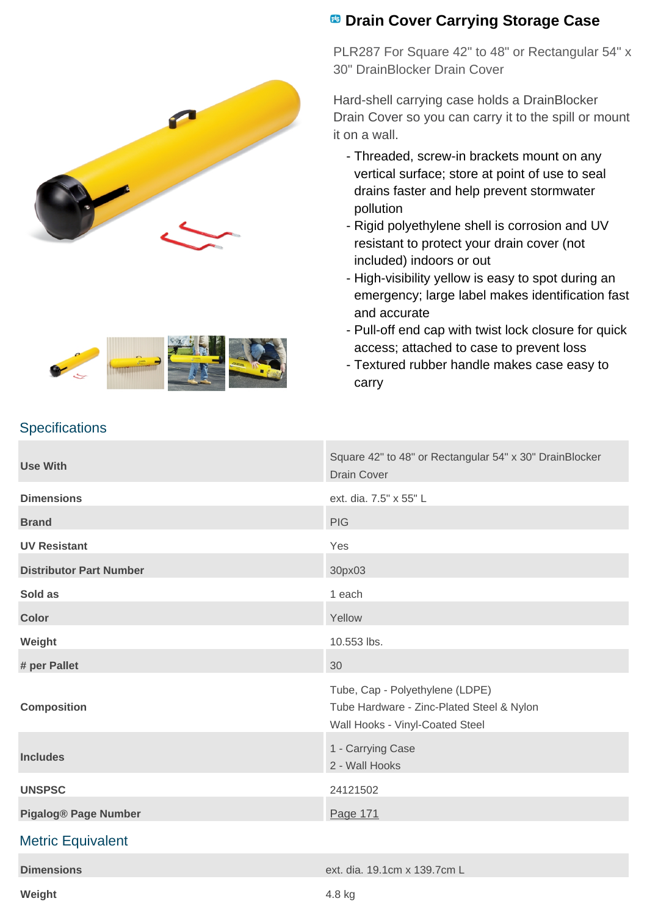



**Weight** 4.8 kg

## **<sup>8</sup> Drain Cover Carrying Storage Case**

PLR287 For Square 42" to 48" or Rectangular 54" x 30" DrainBlocker Drain Cover

Hard-shell carrying case holds a DrainBlocker Drain Cover so you can carry it to the spill or mount it on a wall.

- Threaded, screw-in brackets mount on any vertical surface; store at point of use to seal drains faster and help prevent stormwater pollution
- Rigid polyethylene shell is corrosion and UV resistant to protect your drain cover (not included) indoors or out
- High-visibility yellow is easy to spot during an emergency; large label makes identification fast and accurate
- Pull-off end cap with twist lock closure for quick access; attached to case to prevent loss
- Textured rubber handle makes case easy to carry

## **Use With** Square 42" to 48" or Rectangular 54" x 30" DrainBlocker Drain Cover **Dimensions** ext. dia. 7.5" x 55" L **Brand** PIG **PIG UV Resistant** Yes **Distributor Part Number** 30px03 **Sold as** 1 each 2 and 2 and 2 and 2 and 2 and 2 and 2 and 2 and 2 and 2 and 2 and 2 and 2 and 2 and 2 and 2 and 2 and 2 and 2 and 2 and 2 and 2 and 2 and 2 and 2 and 2 and 2 and 2 and 2 and 2 and 2 and 2 and 2 and 2 and 2 **Color** Yellow **Color** Yellow **Weight** 10.553 lbs. **# per Pallet** 30 **Composition** Tube, Cap - Polyethylene (LDPE) Tube Hardware - Zinc-Plated Steel & Nylon Wall Hooks - Vinyl-Coated Steel **Includes** 1 - Carrying Case 2 - Wall Hooks **UNSPSC** 24121502 **Pigalog® Page Number** [Page 171](http://www.pigalog.com/?PageLabel=171) Metric Equivalent **Dimensions** ext. dia. 19.1cm x 139.7cm L

## **Specifications**